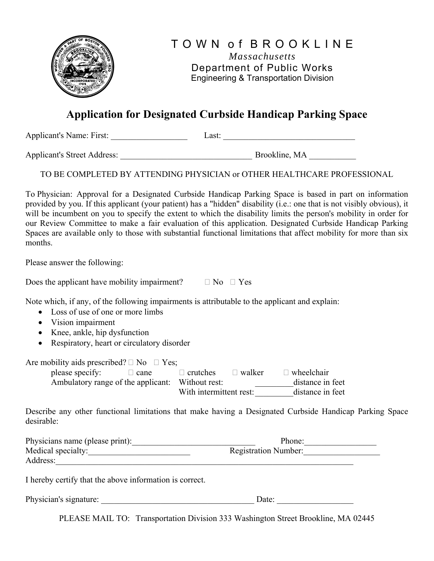

## **Application for Designated Curbside Handicap Parking Space**

Applicant's Name: First: Last: Last:

Applicant's Street Address: \_\_\_\_\_\_\_\_\_\_\_\_\_\_\_\_\_\_\_\_\_\_\_\_\_\_\_\_\_\_\_ Brookline, MA \_\_\_\_\_\_\_\_\_\_\_

TO BE COMPLETED BY ATTENDING PHYSICIAN or OTHER HEALTHCARE PROFESSIONAL

To Physician: Approval for a Designated Curbside Handicap Parking Space is based in part on information provided by you. If this applicant (your patient) has a "hidden" disability (i.e.: one that is not visibly obvious), it will be incumbent on you to specify the extent to which the disability limits the person's mobility in order for our Review Committee to make a fair evaluation of this application. Designated Curbside Handicap Parking Spaces are available only to those with substantial functional limitations that affect mobility for more than six months.

Please answer the following:

Does the applicant have mobility impairment?  $\Box$  No  $\Box$  Yes

Note which, if any, of the following impairments is attributable to the applicant and explain:

- Loss of use of one or more limbs
- Vision impairment
- Knee, ankle, hip dysfunction
- Respiratory, heart or circulatory disorder

Are mobility aids prescribed?  $\Box$  No  $\Box$  Yes;

please specify:  $\square$  cane  $\square$  crutches  $\square$  walker  $\square$  wheelchair<br>Ambulatory range of the applicant: Without rest: distance in feet Ambulatory range of the applicant: Without rest: With intermittent rest: distance in feet

Describe any other functional limitations that make having a Designated Curbside Handicap Parking Space desirable:

| Physicians name (please print): | Phone:                      |  |
|---------------------------------|-----------------------------|--|
| Medical specialty:              | <b>Registration Number:</b> |  |
| Address:                        |                             |  |

I hereby certify that the above information is correct.

| Physician's signature: | Jate |  |
|------------------------|------|--|
|                        |      |  |

PLEASE MAIL TO: Transportation Division 333 Washington Street Brookline, MA 02445